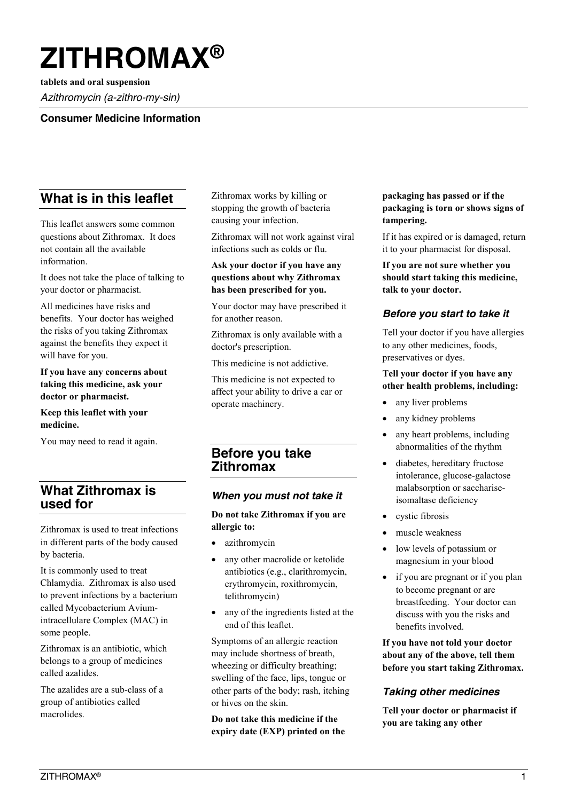# **ZITHROMAX®**

**tablets and oral suspension** *Azithromycin (a-zithro-my-sin)*

## **Consumer Medicine Information**

# **What is in this leaflet**

This leaflet answers some common questions about Zithromax. It does not contain all the available information.

It does not take the place of talking to your doctor or pharmacist.

All medicines have risks and benefits. Your doctor has weighed the risks of you taking Zithromax against the benefits they expect it will have for you.

**If you have any concerns about taking this medicine, ask your doctor or pharmacist.**

**Keep this leaflet with your medicine.**

You may need to read it again.

# **What Zithromax is used for**

Zithromax is used to treat infections in different parts of the body caused by bacteria.

It is commonly used to treat Chlamydia. Zithromax is also used to prevent infections by a bacterium called Mycobacterium Aviumintracellulare Complex (MAC) in some people.

Zithromax is an antibiotic, which belongs to a group of medicines called azalides.

The azalides are a sub-class of a group of antibiotics called macrolides.

Zithromax works by killing or stopping the growth of bacteria causing your infection.

Zithromax will not work against viral infections such as colds or flu.

## **Ask your doctor if you have any questions about why Zithromax has been prescribed for you.**

Your doctor may have prescribed it for another reason.

Zithromax is only available with a doctor's prescription.

This medicine is not addictive.

This medicine is not expected to affect your ability to drive a car or operate machinery.

# **Before you take Zithromax**

## *When you must not take it*

**Do not take Zithromax if you are allergic to:**

- azithromycin
- any other macrolide or ketolide antibiotics (e.g., clarithromycin, erythromycin, roxithromycin, telithromycin)
- any of the ingredients listed at the end of this leaflet.

Symptoms of an allergic reaction may include shortness of breath, wheezing or difficulty breathing; swelling of the face, lips, tongue or other parts of the body; rash, itching or hives on the skin.

**Do not take this medicine if the expiry date (EXP) printed on the** 

## **packaging has passed or if the packaging is torn or shows signs of tampering.**

If it has expired or is damaged, return it to your pharmacist for disposal.

**If you are not sure whether you should start taking this medicine, talk to your doctor.**

# *Before you start to take it*

Tell your doctor if you have allergies to any other medicines, foods, preservatives or dyes.

#### **Tell your doctor if you have any other health problems, including:**

- any liver problems
- any kidney problems
- any heart problems, including abnormalities of the rhythm
- diabetes, hereditary fructose intolerance, glucose-galactose malabsorption or sacchariseisomaltase deficiency
- cystic fibrosis
- muscle weakness
- low levels of potassium or magnesium in your blood
- if you are pregnant or if you plan to become pregnant or are breastfeeding. Your doctor can discuss with you the risks and benefits involved.

**If you have not told your doctor about any of the above, tell them before you start taking Zithromax.**

# *Taking other medicines*

**Tell your doctor or pharmacist if you are taking any other**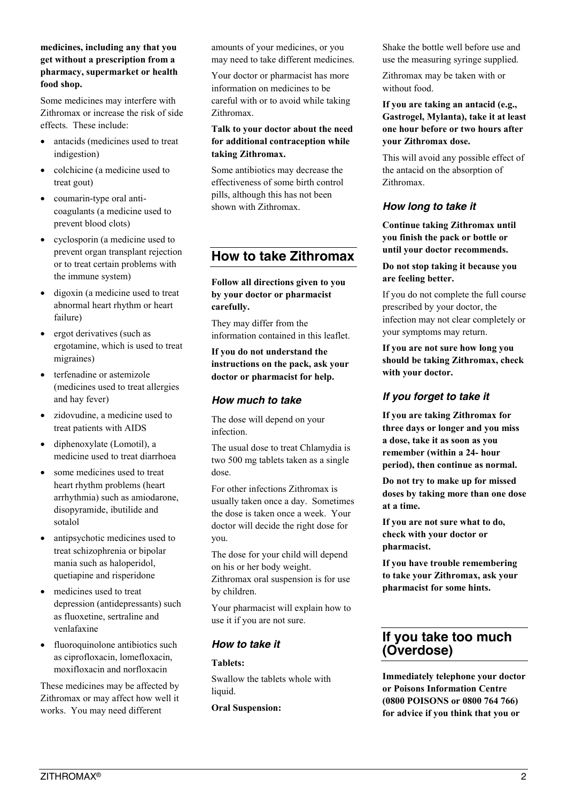#### **medicines, including any that you get without a prescription from a pharmacy, supermarket or health food shop.**

Some medicines may interfere with Zithromax or increase the risk of side effects. These include:

- antacids (medicines used to treat indigestion)
- colchicine (a medicine used to treat gout)
- coumarin-type oral anticoagulants (a medicine used to prevent blood clots)
- cyclosporin (a medicine used to prevent organ transplant rejection or to treat certain problems with the immune system)
- digoxin (a medicine used to treat abnormal heart rhythm or heart failure)
- ergot derivatives (such as ergotamine, which is used to treat migraines)
- terfenadine or astemizole (medicines used to treat allergies and hay fever)
- zidovudine, a medicine used to treat patients with AIDS
- diphenoxylate (Lomotil), a medicine used to treat diarrhoea
- some medicines used to treat heart rhythm problems (heart arrhythmia) such as amiodarone, disopyramide, ibutilide and sotalol
- antipsychotic medicines used to treat schizophrenia or bipolar mania such as haloperidol, quetiapine and risperidone
- medicines used to treat depression (antidepressants) such as fluoxetine, sertraline and venlafaxine
- fluoroquinolone antibiotics such as ciprofloxacin, lomefloxacin, moxifloxacin and norfloxacin

These medicines may be affected by Zithromax or may affect how well it works. You may need different

amounts of your medicines, or you may need to take different medicines.

Your doctor or pharmacist has more information on medicines to be careful with or to avoid while taking Zithromax.

#### **Talk to your doctor about the need for additional contraception while taking Zithromax.**

Some antibiotics may decrease the effectiveness of some birth control pills, although this has not been shown with Zithromax.

# **How to take Zithromax**

**Follow all directions given to you by your doctor or pharmacist carefully.**

They may differ from the information contained in this leaflet.

**If you do not understand the instructions on the pack, ask your doctor or pharmacist for help.**

# *How much to take*

The dose will depend on your infection.

The usual dose to treat Chlamydia is two 500 mg tablets taken as a single dose.

For other infections Zithromax is usually taken once a day. Sometimes the dose is taken once a week. Your doctor will decide the right dose for you.

The dose for your child will depend on his or her body weight.

Zithromax oral suspension is for use by children.

Your pharmacist will explain how to use it if you are not sure.

# *How to take it*

## **Tablets:**

Swallow the tablets whole with liquid.

## **Oral Suspension:**

Shake the bottle well before use and use the measuring syringe supplied.

Zithromax may be taken with or without food.

**If you are taking an antacid (e.g., Gastrogel, Mylanta), take it at least one hour before or two hours after your Zithromax dose.**

This will avoid any possible effect of the antacid on the absorption of Zithromax.

# *How long to take it*

**Continue taking Zithromax until you finish the pack or bottle or until your doctor recommends.**

## **Do not stop taking it because you are feeling better.**

If you do not complete the full course prescribed by your doctor, the infection may not clear completely or your symptoms may return.

**If you are not sure how long you should be taking Zithromax, check with your doctor.**

# *If you forget to take it*

**If you are taking Zithromax for three days or longer and you miss a dose, take it as soon as you remember (within a 24- hour period), then continue as normal.**

**Do not try to make up for missed doses by taking more than one dose at a time.**

**If you are not sure what to do, check with your doctor or pharmacist.**

**If you have trouble remembering to take your Zithromax, ask your pharmacist for some hints.**

# **If you take too much (Overdose)**

**Immediately telephone your doctor or Poisons Information Centre (0800 POISONS or 0800 764 766) for advice if you think that you or**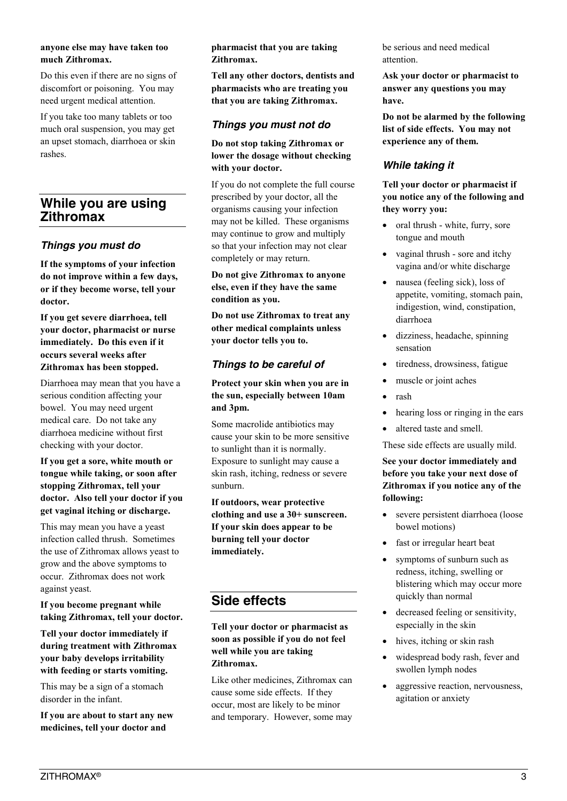#### **anyone else may have taken too much Zithromax.**

Do this even if there are no signs of discomfort or poisoning. You may need urgent medical attention.

If you take too many tablets or too much oral suspension, you may get an upset stomach, diarrhoea or skin rashes.

# **While you are using Zithromax**

# *Things you must do*

**If the symptoms of your infection do not improve within a few days, or if they become worse, tell your doctor.**

**If you get severe diarrhoea, tell your doctor, pharmacist or nurse immediately. Do this even if it occurs several weeks after Zithromax has been stopped.**

Diarrhoea may mean that you have a serious condition affecting your bowel. You may need urgent medical care. Do not take any diarrhoea medicine without first checking with your doctor.

#### **If you get a sore, white mouth or tongue while taking, or soon after stopping Zithromax, tell your doctor. Also tell your doctor if you get vaginal itching or discharge.**

This may mean you have a yeast infection called thrush. Sometimes the use of Zithromax allows yeast to grow and the above symptoms to occur. Zithromax does not work against yeast.

**If you become pregnant while taking Zithromax, tell your doctor.**

**Tell your doctor immediately if during treatment with Zithromax your baby develops irritability with feeding or starts vomiting.**

This may be a sign of a stomach disorder in the infant.

**If you are about to start any new medicines, tell your doctor and** 

**pharmacist that you are taking Zithromax.**

**Tell any other doctors, dentists and pharmacists who are treating you that you are taking Zithromax.**

## *Things you must not do*

#### **Do not stop taking Zithromax or lower the dosage without checking with your doctor.**

If you do not complete the full course prescribed by your doctor, all the organisms causing your infection may not be killed. These organisms may continue to grow and multiply so that your infection may not clear completely or may return.

**Do not give Zithromax to anyone else, even if they have the same condition as you.**

**Do not use Zithromax to treat any other medical complaints unless your doctor tells you to.**

# *Things to be careful of*

#### **Protect your skin when you are in the sun, especially between 10am and 3pm.**

Some macrolide antibiotics may cause your skin to be more sensitive to sunlight than it is normally. Exposure to sunlight may cause a skin rash, itching, redness or severe sunburn.

#### **If outdoors, wear protective clothing and use a 30+ sunscreen. If your skin does appear to be burning tell your doctor immediately.**

# **Side effects**

**Tell your doctor or pharmacist as soon as possible if you do not feel well while you are taking Zithromax.**

Like other medicines, Zithromax can cause some side effects. If they occur, most are likely to be minor and temporary. However, some may be serious and need medical attention.

**Ask your doctor or pharmacist to answer any questions you may have.**

**Do not be alarmed by the following list of side effects. You may not experience any of them.**

# *While taking it*

**Tell your doctor or pharmacist if you notice any of the following and they worry you:**

- oral thrush white, furry, sore tongue and mouth
- vaginal thrush sore and itchy vagina and/or white discharge
- nausea (feeling sick), loss of appetite, vomiting, stomach pain, indigestion, wind, constipation, diarrhoea
- dizziness, headache, spinning sensation
- tiredness, drowsiness, fatigue
- muscle or joint aches
- rash
- hearing loss or ringing in the ears
- altered taste and smell.

These side effects are usually mild.

## **See your doctor immediately and before you take your next dose of Zithromax if you notice any of the following:**

- severe persistent diarrhoea (loose bowel motions)
- fast or irregular heart beat
- symptoms of sunburn such as redness, itching, swelling or blistering which may occur more quickly than normal
- decreased feeling or sensitivity, especially in the skin
- hives, itching or skin rash
- widespread body rash, fever and swollen lymph nodes
- aggressive reaction, nervousness, agitation or anxiety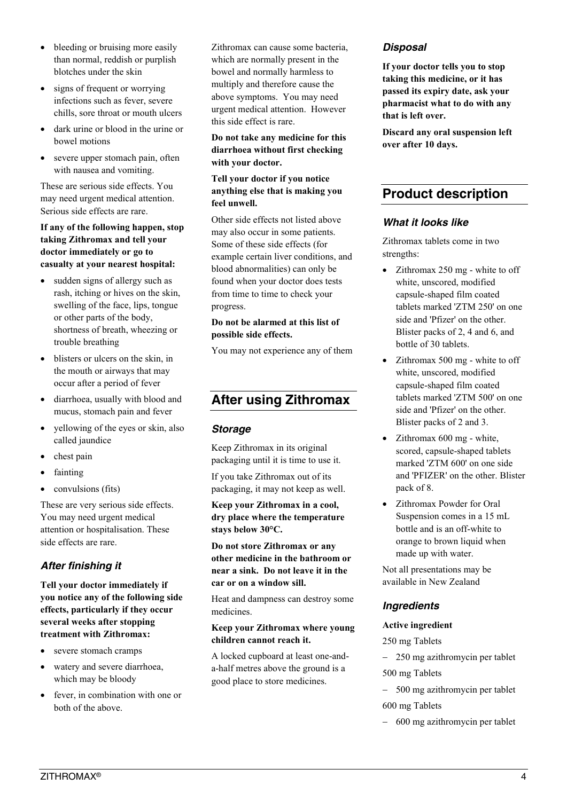- bleeding or bruising more easily than normal, reddish or purplish blotches under the skin
- signs of frequent or worrying infections such as fever, severe chills, sore throat or mouth ulcers
- dark urine or blood in the urine or bowel motions
- severe upper stomach pain, often with nausea and vomiting.

These are serious side effects. You may need urgent medical attention. Serious side effects are rare.

#### **If any of the following happen, stop taking Zithromax and tell your doctor immediately or go to casualty at your nearest hospital:**

- sudden signs of allergy such as rash, itching or hives on the skin, swelling of the face, lips, tongue or other parts of the body, shortness of breath, wheezing or trouble breathing
- blisters or ulcers on the skin, in the mouth or airways that may occur after a period of fever
- diarrhoea, usually with blood and mucus, stomach pain and fever
- yellowing of the eyes or skin, also called jaundice
- chest pain
- fainting
- $\bullet$  convulsions (fits)

These are very serious side effects. You may need urgent medical attention or hospitalisation. These side effects are rare.

# *After finishing it*

**Tell your doctor immediately if you notice any of the following side effects, particularly if they occur several weeks after stopping treatment with Zithromax:**

- severe stomach cramps
- watery and severe diarrhoea, which may be bloody
- fever, in combination with one or both of the above.

Zithromax can cause some bacteria, which are normally present in the bowel and normally harmless to multiply and therefore cause the above symptoms. You may need urgent medical attention. However this side effect is rare.

**Do not take any medicine for this diarrhoea without first checking with your doctor.**

**Tell your doctor if you notice anything else that is making you feel unwell.**

Other side effects not listed above may also occur in some patients. Some of these side effects (for example certain liver conditions, and blood abnormalities) can only be found when your doctor does tests from time to time to check your progress.

## **Do not be alarmed at this list of possible side effects.**

You may not experience any of them

# **After using Zithromax**

# *Storage*

Keep Zithromax in its original packaging until it is time to use it. If you take Zithromax out of its

packaging, it may not keep as well.

**Keep your Zithromax in a cool, dry place where the temperature stays below 30°C.**

**Do not store Zithromax or any other medicine in the bathroom or near a sink. Do not leave it in the car or on a window sill.**

Heat and dampness can destroy some medicines.

## **Keep your Zithromax where young children cannot reach it.**

A locked cupboard at least one-anda-half metres above the ground is a good place to store medicines.

# *Disposal*

**If your doctor tells you to stop taking this medicine, or it has passed its expiry date, ask your pharmacist what to do with any that is left over.**

**Discard any oral suspension left over after 10 days.**

# **Product description**

# *What it looks like*

Zithromax tablets come in two strengths:

- $\bullet$  Zithromax 250 mg white to off white, unscored, modified capsule-shaped film coated tablets marked 'ZTM 250' on one side and 'Pfizer' on the other. Blister packs of 2, 4 and 6, and bottle of 30 tablets.
- Zithromax 500 mg white to off white, unscored, modified capsule-shaped film coated tablets marked 'ZTM 500' on one side and 'Pfizer' on the other. Blister packs of 2 and 3.
- Zithromax 600 mg white, scored, capsule-shaped tablets marked 'ZTM 600' on one side and 'PFIZER' on the other. Blister pack of 8.
- Zithromax Powder for Oral Suspension comes in a 15 mL bottle and is an off-white to orange to brown liquid when made up with water.

Not all presentations may be available in New Zealand

# *Ingredients*

#### **Active ingredient**

250 mg Tablets

250 mg azithromycin per tablet

500 mg Tablets

- 500 mg azithromycin per tablet 600 mg Tablets
- 600 mg azithromycin per tablet